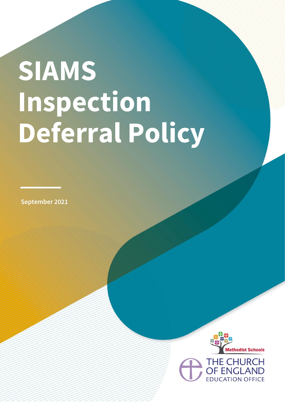## **SIAMS Inspection Deferral Policy**

**September 2021**

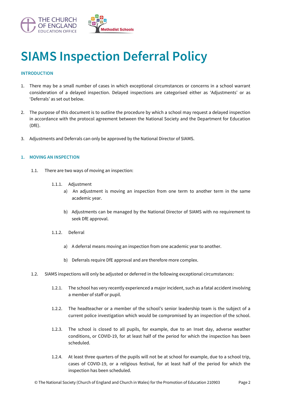

## **SIAMS Inspection Deferral Policy**

## **INTRODUCTION**

- 1. There may be a small number of cases in which exceptional circumstances or concerns in a school warrant consideration of a delayed inspection. Delayed inspections are categorised either as 'Adjustments' or as 'Deferrals' as set out below.
- 2. The purpose of this document is to outline the procedure by which a school may request a delayed inspection in accordance with the protocol agreement between the National Society and the Department for Education (DfE).
- 3. Adjustments and Deferrals can only be approved by the National Director of SIAMS.

## **1. MOVING AN INSPECTION**

- 1.1. There are two ways of moving an inspection:
	- 1.1.1. Adjustment
		- a) An adjustment is moving an inspection from one term to another term in the same academic year.
		- b) Adjustments can be managed by the National Director of SIAMS with no requirement to seek DfE approval.
	- 1.1.2. Deferral
		- a) A deferral means moving an inspection from one academic year to another.
		- b) Deferrals require DfE approval and are therefore more complex.
- 1.2. SIAMS inspections will only be adjusted or deferred in the following exceptional circumstances:
	- 1.2.1. The school has very recently experienced a major incident, such as a fatal accident involving a member of staff or pupil.
	- 1.2.2. The headteacher or a member of the school's senior leadership team is the subject of a current police investigation which would be compromised by an inspection of the school.
	- 1.2.3. The school is closed to all pupils, for example, due to an Inset day, adverse weather conditions, or COVID-19, for at least half of the period for which the inspection has been scheduled.
	- 1.2.4. At least three quarters of the pupils will not be at school for example, due to a school trip, cases of COVID-19, or a religious festival, for at least half of the period for which the inspection has been scheduled.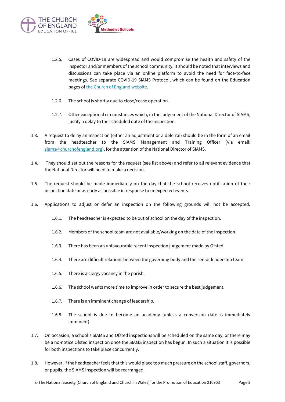

- 1.2.5. Cases of COVID-19 are widespread and would compromise the health and safety of the inspector and/or members of the school community. It should be noted that interviews and discussions can take place via an online platform to avoid the need for face-to-face meetings. See separate COVID-19 SIAMS Protocol, which can be found on the Education pages of [the Church of England website.](https://www.churchofengland.org/about/education-and-schools/church-schools-and-academies/siams-inspections)
- 1.2.6. The school is shortly due to close/cease operation.
- 1.2.7. Other exceptional circumstances which, in the judgement of the National Director of SIAMS, justify a delay to the scheduled date of the inspection.
- 1.3. A request to delay an inspection (either an adjustment or a deferral) should be in the form of an email from the headteacher to the SIAMS Management and Training Officer (via email: [siams@churchofengland.org\)](mailto:siams@churchofengland.org), for the attention of the National Director of SIAMS.
- 1.4. They should set out the reasons for the request (see list above) and refer to all relevant evidence that the National Director will need to make a decision.
- 1.5. The request should be made immediately on the day that the school receives notification of their inspection date or as early as possible in response to unexpected events.
- 1.6. Applications to adjust or defer an inspection on the following grounds will not be accepted.
	- 1.6.1. The headteacher is expected to be out of school on the day of the inspection.
	- 1.6.2. Members of the school team are not available/working on the date of the inspection.
	- 1.6.3. There has been an unfavourable recent inspection judgement made by Ofsted.
	- 1.6.4. There are difficult relations between the governing body and the senior leadership team.
	- 1.6.5. There is a clergy vacancy in the parish.
	- 1.6.6. The school wants more time to improve in order to secure the best judgement.
	- 1.6.7. There is an imminent change of leadership.
	- 1.6.8. The school is due to become an academy (unless a conversion date is immediately imminent).
- 1.7. On occasion, a school's SIAMS and Ofsted inspections will be scheduled on the same day, or there may be a no-notice Ofsted inspection once the SIAMS inspection has begun. In such a situation it is possible for both inspections to take place concurrently.
- 1.8. However, if the headteacher feels that this would place too much pressure on the school staff, governors, or pupils, the SIAMS inspection will be rearranged.